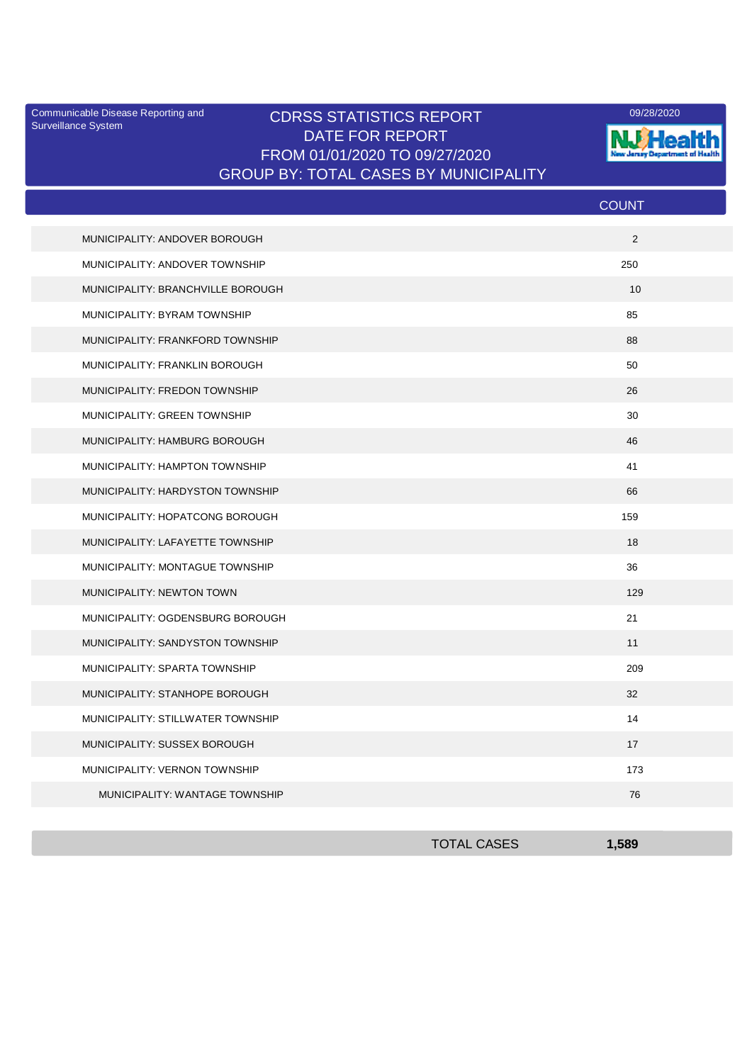Surveillance System

## Communicable Disease Reporting and CDRSS STATISTICS REPORT 2001 28/2020 DATE FOR REPORT FROM 01/01/2020 TO 09/27/2020 GROUP BY: TOTAL CASES BY MUNICIPALITY



|                                   | <b>COUNT</b> |
|-----------------------------------|--------------|
| MUNICIPALITY: ANDOVER BOROUGH     | 2            |
| MUNICIPALITY: ANDOVER TOWNSHIP    | 250          |
| MUNICIPALITY: BRANCHVILLE BOROUGH | 10           |
| MUNICIPALITY: BYRAM TOWNSHIP      | 85           |
| MUNICIPALITY: FRANKFORD TOWNSHIP  | 88           |
| MUNICIPALITY: FRANKLIN BOROUGH    | 50           |
| MUNICIPALITY: FREDON TOWNSHIP     | 26           |
| MUNICIPALITY: GREEN TOWNSHIP      | 30           |
| MUNICIPALITY: HAMBURG BOROUGH     | 46           |
| MUNICIPALITY: HAMPTON TOWNSHIP    | 41           |
| MUNICIPALITY: HARDYSTON TOWNSHIP  | 66           |
| MUNICIPALITY: HOPATCONG BOROUGH   | 159          |
| MUNICIPALITY: LAFAYETTE TOWNSHIP  | 18           |
| MUNICIPALITY: MONTAGUE TOWNSHIP   | 36           |
| MUNICIPALITY: NEWTON TOWN         | 129          |
| MUNICIPALITY: OGDENSBURG BOROUGH  | 21           |
| MUNICIPALITY: SANDYSTON TOWNSHIP  | 11           |
| MUNICIPALITY: SPARTA TOWNSHIP     | 209          |
| MUNICIPALITY: STANHOPE BOROUGH    | 32           |
| MUNICIPALITY: STILLWATER TOWNSHIP | 14           |
| MUNICIPALITY: SUSSEX BOROUGH      | 17           |
| MUNICIPALITY: VERNON TOWNSHIP     | 173          |
| MUNICIPALITY: WANTAGE TOWNSHIP    | 76           |

| <b>TOTAL CASES</b> | 1,589 |
|--------------------|-------|
|                    |       |